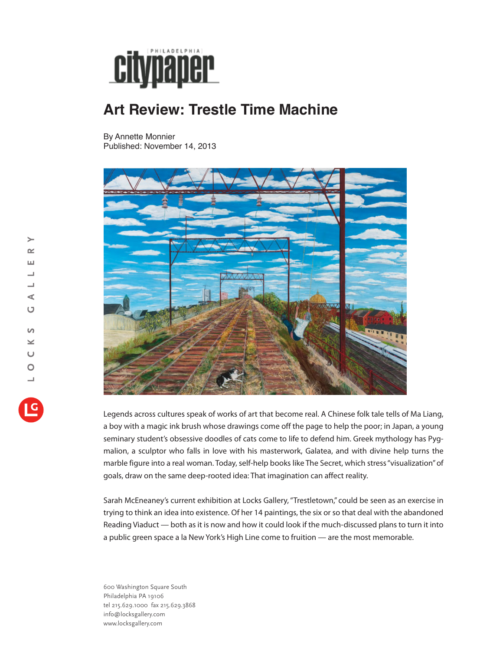

## **Art Review: Trestle Time Machine**

By Annette Monnier Published: November 14, 2013



Legends across cultures speak of works of art that become real. A Chinese folk tale tells of Ma Liang, a boy with a magic ink brush whose drawings come off the page to help the poor; in Japan, a young seminary student's obsessive doodles of cats come to life to defend him. Greek mythology has Pygmalion, a sculptor who falls in love with his masterwork, Galatea, and with divine help turns the marble figure into a real woman. Today, self-help books like The Secret, which stress "visualization" of goals, draw on the same deep-rooted idea: That imagination can affect reality.

Sarah McEneaney's current exhibition at Locks Gallery, "Trestletown," could be seen as an exercise in trying to think an idea into existence. Of her 14 paintings, the six or so that deal with the abandoned Reading Viaduct — both as it is now and how it could look if the much-discussed plans to turn it into a public green space a la New York's High Line come to fruition — are the most memorable.

600 Washington Square South Philadelphia PA 19106 tel 215.629.1000 fax 215.629.3868 info@locksgallery.com www.locksgallery.com

 $\rightarrow$